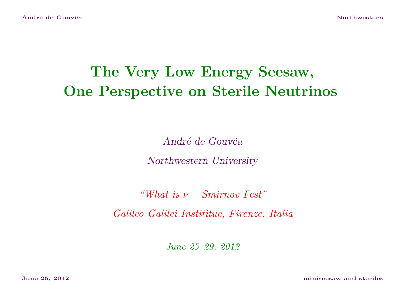# The Very Low Energy Seesaw, One Perspective on Sterile Neutrinos

André de Gouvêa Northwestern University

"What is  $\nu$  – Smirnov Fest"

Galileo Galilei Instititue, Firenze, Italia

June 25–29, 2012

June 25, 2012 miniseesaw and steriles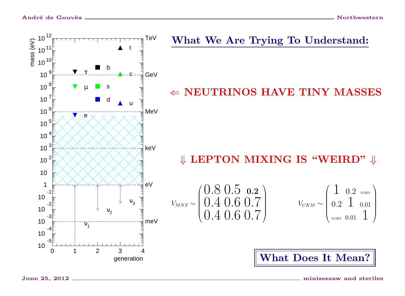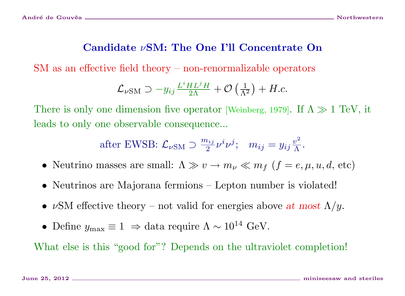## Candidate νSM: The One I'll Concentrate On

SM as an effective field theory – non-renormalizable operators

$$
\mathcal{L}_{\nu\rm SM} \supset -y_{ij} \frac{L^i H L^j H}{2\Lambda} + \mathcal{O}\left(\frac{1}{\Lambda^2}\right) + H.c.
$$

There is only one dimension five operator [Weinberg, 1979]. If  $\Lambda \gg 1$  TeV, it leads to only one observable consequence...

after EWSB: 
$$
\mathcal{L}_{\nu SM} \supset \frac{m_{ij}}{2} \nu^i \nu^j
$$
;  $m_{ij} = y_{ij} \frac{v^2}{\Lambda}$ .

- Neutrino masses are small:  $\Lambda \gg v \to m_{\nu} \ll m_f$   $(f = e, \mu, u, d, \text{etc})$
- Neutrinos are Majorana fermions Lepton number is violated!
- $\nu$ SM effective theory not valid for energies above at most  $\Lambda/y$ .
- Define  $y_{\text{max}} \equiv 1 \Rightarrow$  data require  $\Lambda \sim 10^{14}$  GeV.

What else is this "good for"? Depends on the ultraviolet completion!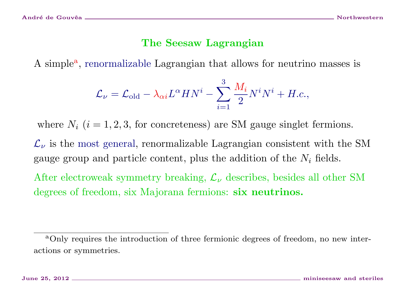## The Seesaw Lagrangian

A simple<sup>a</sup>, renormalizable Lagrangian that allows for neutrino masses is

$$
\mathcal{L}_{\nu} = \mathcal{L}_{\text{old}} - \lambda_{\alpha i} L^{\alpha} H N^{i} - \sum_{i=1}^{3} \frac{M_{i}}{2} N^{i} N^{i} + H.c.,
$$

where  $N_i$  ( $i = 1, 2, 3$ , for concreteness) are SM gauge singlet fermions.

 $\mathcal{L}_{\nu}$  is the most general, renormalizable Lagrangian consistent with the SM gauge group and particle content, plus the addition of the  $N_i$  fields.

After electroweak symmetry breaking,  $\mathcal{L}_{\nu}$  describes, besides all other SM degrees of freedom, six Majorana fermions: six neutrinos.

<span id="page-3-0"></span><sup>&</sup>lt;sup>a</sup>Only requires the introduction of three fermionic degrees of freedom, no new interactions or symmetries.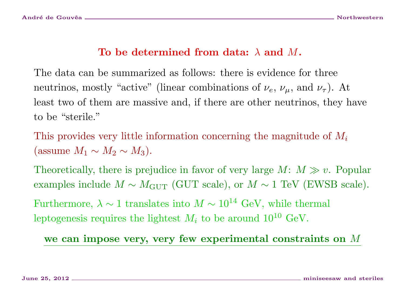## To be determined from data:  $\lambda$  and M.

The data can be summarized as follows: there is evidence for three neutrinos, mostly "active" (linear combinations of  $\nu_e$ ,  $\nu_\mu$ , and  $\nu_\tau$ ). At least two of them are massive and, if there are other neutrinos, they have to be "sterile."

This provides very little information concerning the magnitude of  $M_i$ (assume  $M_1 \sim M_2 \sim M_3$ ).

Theoretically, there is prejudice in favor of very large  $M: M \gg v$ . Popular examples include  $M \sim M_{\text{GUT}}$  (GUT scale), or  $M \sim 1 \text{ TeV}$  (EWSB scale).

Furthermore,  $\lambda \sim 1$  translates into  $M \sim 10^{14}$  GeV, while thermal leptogenesis requires the lightest  $M_i$  to be around  $10^{10}$  GeV.

we can impose very, very few experimental constraints on M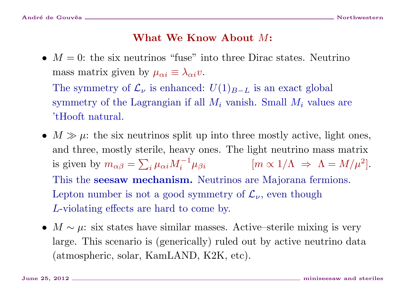#### What We Know About M:

•  $M = 0$ : the six neutrinos "fuse" into three Dirac states. Neutrino mass matrix given by  $\mu_{\alpha i} \equiv \lambda_{\alpha i} v$ .

The symmetry of  $\mathcal{L}_{\nu}$  is enhanced:  $U(1)_{B-L}$  is an exact global symmetry of the Lagrangian if all  $M_i$  vanish. Small  $M_i$  values are 'tHooft natural.

- $M \gg \mu$ : the six neutrinos split up into three mostly active, light ones, and three, mostly sterile, heavy ones. The light neutrino mass matrix is given by  $m_{\alpha\beta} = \sum_{i} \mu_{\alpha i} M_i^{-1} \mu_{\beta i}$  [ $m \propto 1/\Lambda \Rightarrow \Lambda = M/\mu^2$ ]. This the **seesaw mechanism.** Neutrinos are Majorana fermions. Lepton number is not a good symmetry of  $\mathcal{L}_{\nu}$ , even though L-violating effects are hard to come by.
- $M \sim \mu$ : six states have similar masses. Active–sterile mixing is very large. This scenario is (generically) ruled out by active neutrino data (atmospheric, solar, KamLAND, K2K, etc).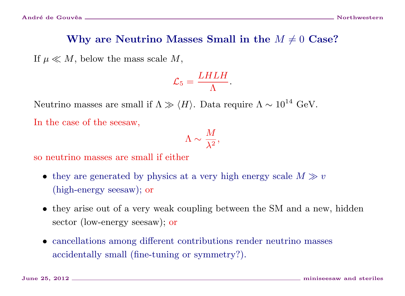If  $\mu \ll M$ , below the mass scale M,

$$
\mathcal{L}_5 = \frac{L H L H}{\Lambda}.
$$

Neutrino masses are small if  $\Lambda \gg \langle H \rangle$ . Data require  $\Lambda \sim 10^{14}$  GeV.

In the case of the seesaw,

$$
\Lambda \sim \frac{M}{\lambda^2},
$$

so neutrino masses are small if either

- they are generated by physics at a very high energy scale  $M \gg v$ (high-energy seesaw); or
- they arise out of a very weak coupling between the SM and a new, hidden sector (low-energy seesaw); or
- cancellations among different contributions render neutrino masses accidentally small (fine-tuning or symmetry?).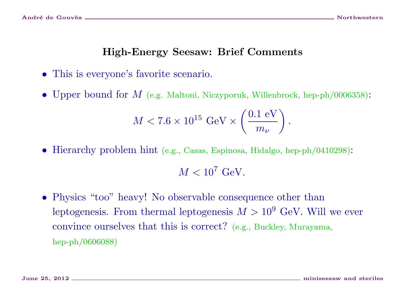#### High-Energy Seesaw: Brief Comments

- This is everyone's favorite scenario.
- Upper bound for  $M$  (e.g. Maltoni, Niczyporuk, Willenbrock, hep-ph/0006358):

$$
M < 7.6 \times 10^{15} \text{ GeV} \times \left(\frac{0.1 \text{ eV}}{m_{\nu}}\right).
$$

• Hierarchy problem hint (e.g., Casas, Espinosa, Hidalgo, hep-ph/0410298):

 $M < 10^7$  GeV.

• Physics "too" heavy! No observable consequence other than leptogenesis. From thermal leptogenesis  $M > 10^9$  GeV. Will we ever convince ourselves that this is correct? (e.g., Buckley, Murayama, hep-ph/0606088)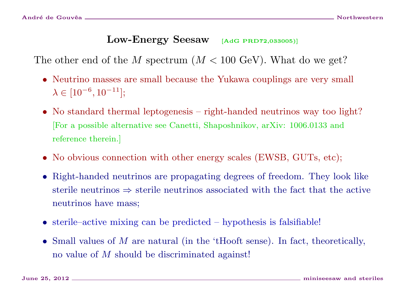## Low-Energy Seesaw [AdG PRD72,033005]]

The other end of the M spectrum  $(M < 100 \text{ GeV})$ . What do we get?

- Neutrino masses are small because the Yukawa couplings are very small  $\lambda \in [10^{-6}, 10^{-11}];$
- No standard thermal leptogenesis right-handed neutrinos way too light? [For a possible alternative see Canetti, Shaposhnikov, arXiv: 1006.0133 and reference therein.]
- No obvious connection with other energy scales (EWSB, GUTs, etc);
- Right-handed neutrinos are propagating degrees of freedom. They look like sterile neutrinos ⇒ sterile neutrinos associated with the fact that the active neutrinos have mass;
- sterile–active mixing can be predicted hypothesis is falsifiable!
- Small values of  $M$  are natural (in the 'tHooft sense). In fact, theoretically, no value of M should be discriminated against!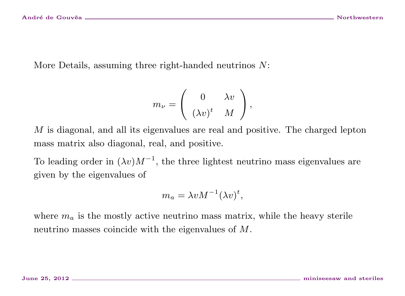More Details, assuming three right-handed neutrinos N:

$$
m_{\nu} = \left(\begin{array}{cc} 0 & \lambda v \\ (\lambda v)^t & M \end{array}\right),
$$

M is diagonal, and all its eigenvalues are real and positive. The charged lepton mass matrix also diagonal, real, and positive.

To leading order in  $(\lambda v)M^{-1}$ , the three lightest neutrino mass eigenvalues are given by the eigenvalues of

$$
m_a = \lambda v M^{-1} (\lambda v)^t,
$$

where  $m_a$  is the mostly active neutrino mass matrix, while the heavy sterile neutrino masses coincide with the eigenvalues of M.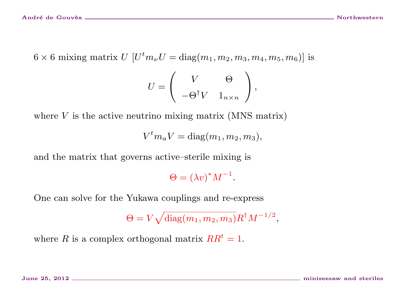$6 \times 6$  mixing matrix  $U$   $\left[U^tm_\nu U=\mathrm{diag}(m_1,m_2,m_3,m_4,m_5,m_6)\right]$  is

$$
U = \left( \begin{array}{cc} V & \Theta \\ -\Theta^{\dagger} V & 1_{n \times n} \end{array} \right),
$$

where  $V$  is the active neutrino mixing matrix (MNS matrix)

$$
V^tm_aV=\mathrm{diag}(m_1,m_2,m_3),
$$

and the matrix that governs active–sterile mixing is

 $\Theta = (\lambda v)^* M^{-1}.$ 

One can solve for the Yukawa couplings and re-express

 $\Theta=V\sqrt{{\rm diag}(m_1,m_2,m_3)}R^{\dagger}M^{-1/2},$ 

where R is a complex orthogonal matrix  $RR<sup>t</sup> = 1$ .

June 25, 2012 miniseesaw and steriles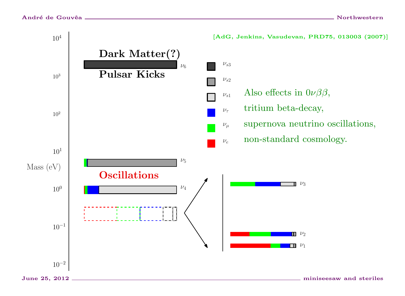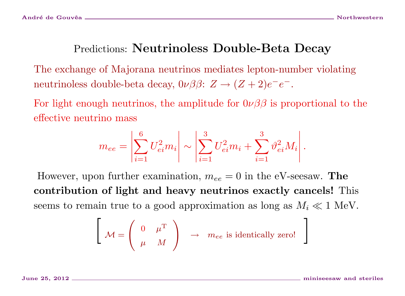# Predictions: Neutrinoless Double-Beta Decay

The exchange of Majorana neutrinos mediates lepton-number violating neutrinoless double-beta decay,  $0\nu\beta\beta$ :  $Z \rightarrow (Z+2)e^{-}e^{-}$ .

For light enough neutrinos, the amplitude for  $0\nu\beta\beta$  is proportional to the effective neutrino mass

$$
m_{ee} = \left| \sum_{i=1}^{6} U_{ei}^2 m_i \right| \sim \left| \sum_{i=1}^{3} U_{ei}^2 m_i + \sum_{i=1}^{3} \vartheta_{ei}^2 M_i \right|.
$$

However, upon further examination,  $m_{ee} = 0$  in the eV-seesaw. The contribution of light and heavy neutrinos exactly cancels! This seems to remain true to a good approximation as long as  $M_i \ll 1$  MeV.

$$
\left[\begin{array}{cc} & 0 & \mu^{\mathrm{T}} \\ \mu & M \end{array}\right] \rightarrow me_e \text{ is identically zero!}
$$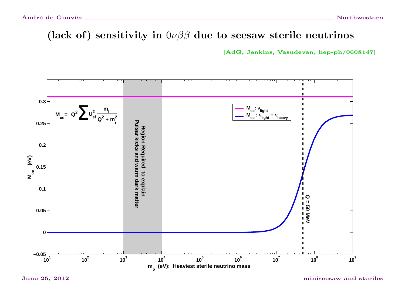(lack of) sensitivity in  $0\nu\beta\beta$  due to seesaw sterile neutrinos

[AdG, Jenkins, Vasudevan, hep-ph/0608147]

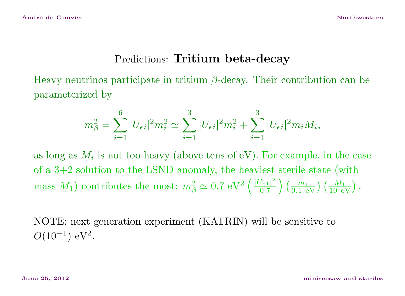## Predictions: Tritium beta-decay

Heavy neutrinos participate in tritium  $\beta$ -decay. Their contribution can be parameterized by

$$
m_{\beta}^{2} = \sum_{i=1}^{6} |U_{ei}|^{2} m_{i}^{2} \simeq \sum_{i=1}^{3} |U_{ei}|^{2} m_{i}^{2} + \sum_{i=1}^{3} |U_{ei}|^{2} m_{i} M_{i},
$$

as long as  $M_i$  is not too heavy (above tens of eV). For example, in the case of a 3+2 solution to the LSND anomaly, the heaviest sterile state (with mass  $M_1$ ) contributes the most:  $m_\beta^2 \simeq 0.7 \text{ eV}^2 \left(\frac{|U_{e_1}|^2}{0.7}\right)$  $\left(\frac{M_1}{0.7}\right)\left(\frac{m_1}{0.1 \, \text{ eV}}\right) \left(\frac{M_1}{10 \, \text{ eV}}\right)$  .

NOTE: next generation experiment (KATRIN) will be sensitive to  $O(10^{-1})$  eV<sup>2</sup>.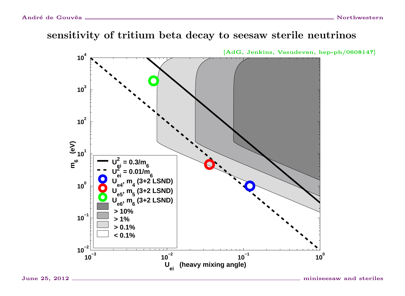#### sensitivity of tritium beta decay to seesaw sterile neutrinos

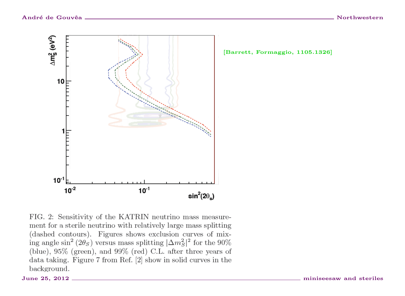

[Barrett, Formaggio, 1105.1326]

FIG. 2: Sensitivity of the KATRIN neutrino mass measurement for a sterile neutrino with relatively large mass splitting (dashed contours). Figures shows exclusion curves of mixing angle sin<sup>2</sup> (2 $\theta'_{S}$ ) versus mass splitting  $|\Delta m_S^2|^2$  for the 90% (blue),  $95\%$  (green), and  $99\%$  (red) C.L. after three years of data taking. Figure 7 from Ref. [2] show in solid curves in the background.

June 25, 2012 \_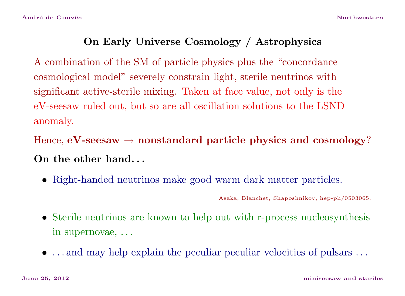## On Early Universe Cosmology / Astrophysics

A combination of the SM of particle physics plus the "concordance cosmological model" severely constrain light, sterile neutrinos with significant active-sterile mixing. Taken at face value, not only is the eV-seesaw ruled out, but so are all oscillation solutions to the LSND anomaly.

Hence,  $eV$ -seesaw  $\rightarrow$  nonstandard particle physics and cosmology? On the other hand. . .

• Right-handed neutrinos make good warm dark matter particles.

Asaka, Blanchet, Shaposhnikov, hep-ph/0503065.

- Sterile neutrinos are known to help out with r-process nucleosynthesis in supernovae, . . .
- ... and may help explain the peculiar peculiar velocities of pulsars ...

June 25, 2012 miniseesaw and steriles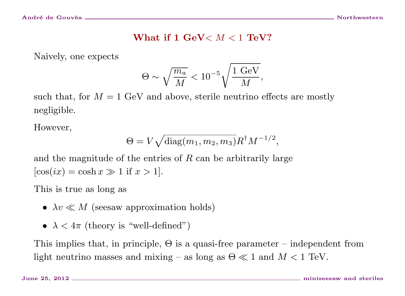#### What if  $1 \text{ GeV} < M < 1 \text{ TeV}$ ?

Naively, one expects

$$
\Theta \sim \sqrt{\frac{m_a}{M}} < 10^{-5} \sqrt{\frac{1\,\,\text{GeV}}{M}},
$$

such that, for  $M = 1$  GeV and above, sterile neutrino effects are mostly negligible.

However,

$$
\Theta = V \sqrt{\text{diag}(m_1, m_2, m_3)} R^{\dagger} M^{-1/2},
$$

and the magnitude of the entries of  $R$  can be arbitrarily large  $[\cos(ix) = \cosh(x) \gg 1$  if  $x > 1$ .

This is true as long as

- $\lambda v \ll M$  (seesaw approximation holds)
- $\lambda < 4\pi$  (theory is "well-defined")

This implies that, in principle,  $\Theta$  is a quasi-free parameter – independent from light neutrino masses and mixing – as long as  $\Theta \ll 1$  and  $M < 1$  TeV.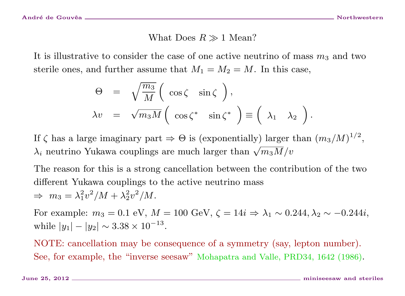#### What Does  $R \gg 1$  Mean?

It is illustrative to consider the case of one active neutrino of mass  $m_3$  and two sterile ones, and further assume that  $M_1 = M_2 = M$ . In this case,

$$
\Theta = \sqrt{\frac{m_3}{M}} \left( \cos \zeta \sin \zeta \right),
$$
  
\n
$$
\lambda v = \sqrt{m_3 M} \left( \cos \zeta^* \sin \zeta^* \right) \equiv \left( \lambda_1 \lambda_2 \right).
$$

If  $\zeta$  has a large imaginary part  $\Rightarrow \Theta$  is (exponentially) larger than  $(m_3/M)^{1/2}$ ,  $\lambda_i$  neutrino Yukawa couplings are much larger than  $\sqrt{m_3M/v_0}$ 

The reason for this is a strong cancellation between the contribution of the two different Yukawa couplings to the active neutrino mass

$$
\Rightarrow m_3 = \lambda_1^2 v^2 / M + \lambda_2^2 v^2 / M.
$$

For example:  $m_3 = 0.1$  eV,  $M = 100$  GeV,  $\zeta = 14i$  ⇒  $\lambda_1 \sim 0.244, \lambda_2 \sim -0.244i$ , while  $|y_1| - |y_2| \sim 3.38 \times 10^{-13}$ .

NOTE: cancellation may be consequence of a symmetry (say, lepton number). See, for example, the "inverse seesaw" Mohapatra and Valle, PRD34, 1642 (1986).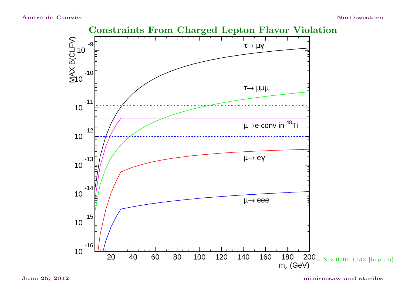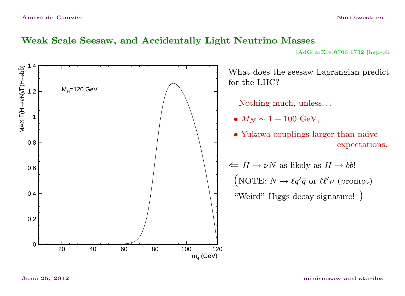#### Weak Scale Seesaw, and Accidentally Light Neutrino Masses

[AdG arXiv:0706.1732 [hep-ph]]

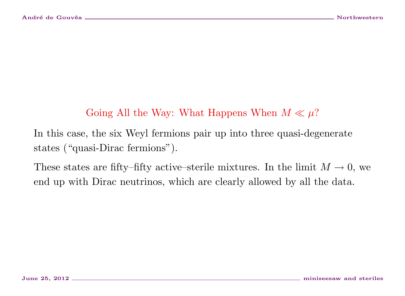## Going All the Way: What Happens When  $M \ll \mu$ ?

In this case, the six Weyl fermions pair up into three quasi-degenerate states ("quasi-Dirac fermions").

These states are fifty–fifty active–sterile mixtures. In the limit  $M \to 0$ , we end up with Dirac neutrinos, which are clearly allowed by all the data.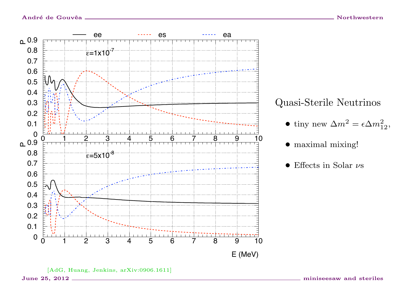

![](_page_23_Figure_3.jpeg)

• tiny new  $\Delta m^2 = \epsilon \Delta m_{12}^2$ ,

 $\bullet$  maximal mixing!

 $\bullet$  Effects in Solar  $\nu s$ 

June 25, 2012 \_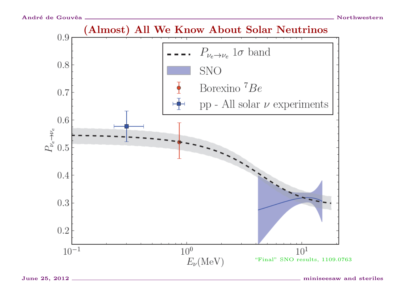![](_page_24_Figure_2.jpeg)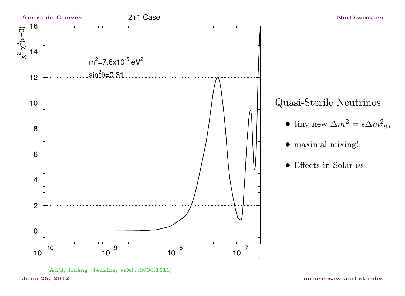![](_page_25_Figure_0.jpeg)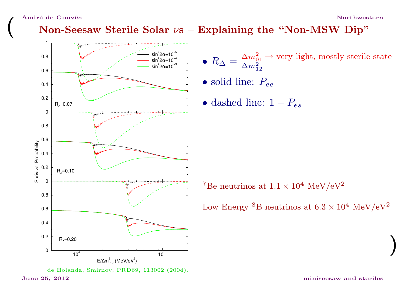## Non-Seesaw Sterile Solar  $\nu s$  – Explaining the "Non-MSW Dip"

![](_page_26_Figure_3.jpeg)

- $R_{\Delta} = \frac{\Delta m_{01}^2}{\Delta m_{12}^2}$  very light, mostly sterile state
- $\bullet$  solid line:  $P_{ee}$
- dashed line:  $1-P_{es}$

 ${\rm ^7Be}$  neutrinos at  $1.1\times10^4$   ${\rm MeV/eV^2}$ 

Low Energy  ${}^{8}B$  neutrinos at  $6.3 \times 10^{4}$  MeV/eV<sup>2</sup>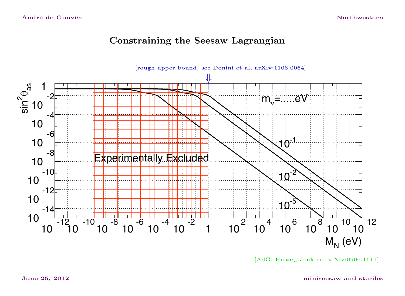#### **Constraining the Seesaw Lagrangian**

![](_page_27_Figure_3.jpeg)

<sup>[</sup>AdG, Huang, Jenkins, arXiv:0906.1611]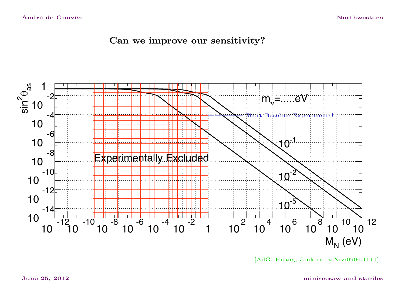Can we improve our sensitivity?

![](_page_28_Figure_3.jpeg)

<sup>[</sup>AdG, Huang, Jenkins, arXiv:0906.1611]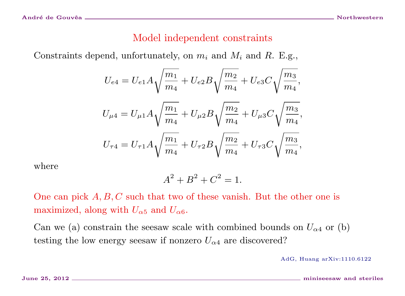#### Model independent constraints

Constraints depend, unfortunately, on  $m_i$  and  $M_i$  and R. E.g.,

$$
U_{e4} = U_{e1}A\sqrt{\frac{m_1}{m_4}} + U_{e2}B\sqrt{\frac{m_2}{m_4}} + U_{e3}C\sqrt{\frac{m_3}{m_4}},
$$
  

$$
U_{\mu 4} = U_{\mu 1}A\sqrt{\frac{m_1}{m_4}} + U_{\mu 2}B\sqrt{\frac{m_2}{m_4}} + U_{\mu 3}C\sqrt{\frac{m_3}{m_4}},
$$
  

$$
U_{\tau 4} = U_{\tau 1}A\sqrt{\frac{m_1}{m_4}} + U_{\tau 2}B\sqrt{\frac{m_2}{m_4}} + U_{\tau 3}C\sqrt{\frac{m_3}{m_4}},
$$

where

$$
A^2 + B^2 + C^2 = 1.
$$

One can pick  $A, B, C$  such that two of these vanish. But the other one is maximized, along with  $U_{\alpha 5}$  and  $U_{\alpha 6}$ .

Can we (a) constrain the seesaw scale with combined bounds on  $U_{\alpha 4}$  or (b) testing the low energy seesaw if nonzero  $U_{\alpha 4}$  are discovered?

AdG, Huang arXiv:1110.6122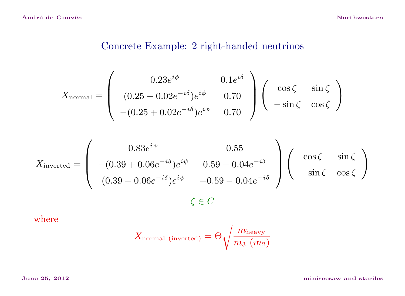## Concrete Example: 2 right-handed neutrinos

$$
X_{\text{normal}} = \begin{pmatrix} 0.23e^{i\phi} & 0.1e^{i\delta} \\ (0.25 - 0.02e^{-i\delta})e^{i\phi} & 0.70 \\ -(0.25 + 0.02e^{-i\delta})e^{i\phi} & 0.70 \end{pmatrix} \begin{pmatrix} \cos\zeta & \sin\zeta \\ -\sin\zeta & \cos\zeta \end{pmatrix}
$$

$$
X_{\text{inverted}} = \begin{pmatrix} 0.83e^{i\psi} & 0.55\\ -(0.39 + 0.06e^{-i\delta})e^{i\psi} & 0.59 - 0.04e^{-i\delta} \\ (0.39 - 0.06e^{-i\delta})e^{i\psi} & -0.59 - 0.04e^{-i\delta} \end{pmatrix} \begin{pmatrix} \cos\zeta & \sin\zeta \\ -\sin\zeta & \cos\zeta \end{pmatrix}
$$
  

$$
\zeta \in C
$$

where

$$
X_{\rm normal\,\,(inverted)} = \Theta \sqrt{\frac{m_{\rm heavy}}{m_3\,\,(m_2)}}
$$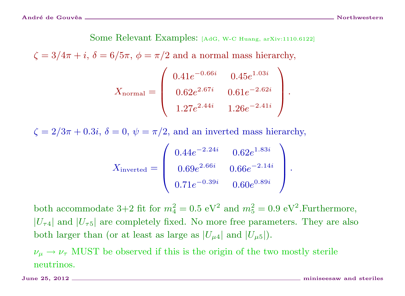Some Relevant Examples: [AdG, W-C Huang, arXiv:1110.6122]

 $\zeta = 3/4\pi + i$ ,  $\delta = 6/5\pi$ ,  $\phi = \pi/2$  and a normal mass hierarchy,

$$
X_{\text{normal}} = \begin{pmatrix} 0.41e^{-0.66i} & 0.45e^{1.03i} \\ 0.62e^{2.67i} & 0.61e^{-2.62i} \\ 1.27e^{2.44i} & 1.26e^{-2.41i} \end{pmatrix}.
$$

 $\zeta = 2/3\pi + 0.3i$ ,  $\delta = 0$ ,  $\psi = \pi/2$ , and an inverted mass hierarchy,

$$
X_{\text{inverted}} = \begin{pmatrix} 0.44e^{-2.24i} & 0.62e^{1.83i} \\ 0.69e^{2.66i} & 0.66e^{-2.14i} \\ 0.71e^{-0.39i} & 0.60e^{0.89i} \end{pmatrix}.
$$

both accommodate 3+2 fit for  $m_4^2 = 0.5$  eV<sup>2</sup> and  $m_5^2 = 0.9$  eV<sup>2</sup>. Furthermore,  $|U_{\tau4}|$  and  $|U_{\tau5}|$  are completely fixed. No more free parameters. They are also both larger than (or at least as large as  $|U_{\mu 4}|$  and  $|U_{\mu 5}|$ ).

 $\nu_{\mu} \rightarrow \nu_{\tau}$  MUST be observed if this is the origin of the two mostly sterile neutrinos.

June 25, 2012 miniseesaw and steriles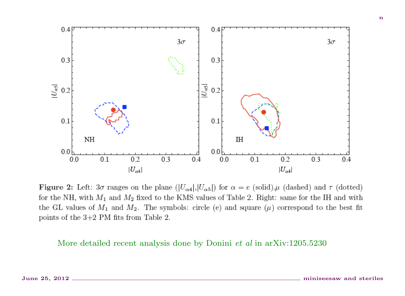![](_page_32_Figure_0.jpeg)

**Figure 2:** Left:  $3\sigma$  ranges on the plane  $(|U_{\alpha 4}|, |U_{\alpha 5}|)$  for  $\alpha = e$  (solid),  $\mu$  (dashed) and  $\tau$  (dotted) for the NH, with  $M_1$  and  $M_2$  fixed to the KMS values of Table 2. Right: same for the IH and with the GL values of  $M_1$  and  $M_2$ . The symbols: circle (e) and square ( $\mu$ ) correspond to the best fit points of the  $3+2$  PM fits from Table 2.

More detailed recent analysis done by Donini *et al* in arXiv:1205.5230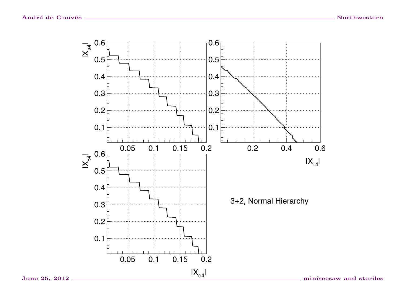![](_page_33_Figure_2.jpeg)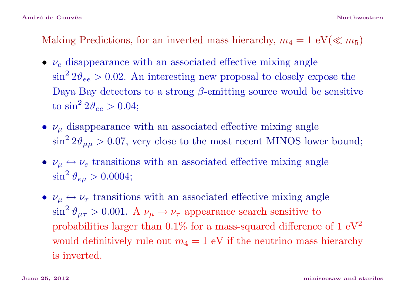Making Predictions, for an inverted mass hierarchy,  $m_4 = 1 \text{ eV}(\ll m_5)$ 

- $\nu_e$  disappearance with an associated effective mixing angle  $\sin^2 2\theta_{ee} > 0.02$ . An interesting new proposal to closely expose the Daya Bay detectors to a strong  $\beta$ -emitting source would be sensitive to  $\sin^2 2\vartheta_{ee} > 0.04$ ;
- $\nu_{\mu}$  disappearance with an associated effective mixing angle  $\sin^2 2\theta_{\mu\mu} > 0.07$ , very close to the most recent MINOS lower bound;
- $\nu_{\mu} \leftrightarrow \nu_{e}$  transitions with an associated effective mixing angle  $\sin^2\vartheta_{e\mu}>0.0004;$
- $\nu_{\mu} \leftrightarrow \nu_{\tau}$  transitions with an associated effective mixing angle  $\sin^2 \vartheta_{\mu\tau} > 0.001$ . A  $\nu_{\mu} \rightarrow \nu_{\tau}$  appearance search sensitive to probabilities larger than  $0.1\%$  for a mass-squared difference of  $1 \text{ eV}^2$ would definitively rule out  $m_4 = 1$  eV if the neutrino mass hierarchy is inverted.